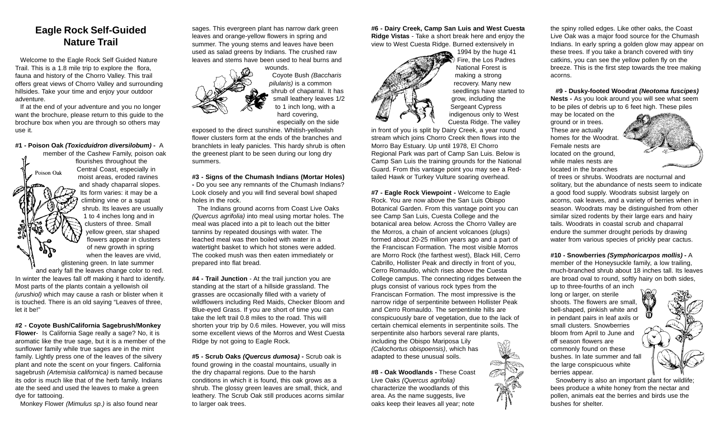## **Eagle Rock Self-Guided Nature Trail**

Welcome to the Eagle Rock Self Guided Nature Trail. This is a 1.8 mile trip to explore the flora, fauna and history of the Chorro Valley. This trail offers great views of Chorro Valley and surrounding hillsides. Take your time and enjoy your outdoor adventure.

If at the end of your adventure and you no longer want the brochure, please return to this guide to the brochure box when you are through so others may use it.

#### **#1 - Poison Oak** *(Toxicduidron diversilobum)* **-**  A

member of the Cashew Family, poison oak flourishes throughout the Central Coast, especially in Poison Oak moist areas, eroded ravines and shady chaparral slopes. Its form varies: it may be a climbing vine or a squat shrub. Its leaves are usually 1 to 4 inches long and in clusters of three. Small yellow green, star shaped flowers appear in clusters of new growth in spring when the leaves are vivid, glistening green. In late summer and early fall the leaves change color to red. In winter the leaves fall off making it hard to identify. Most parts of the plants contain a yellowish oil *(urushiol)* which may cause a rash or blister when it is touched. There is an old saying "Leaves of three, let it be!"

**#2 - Coyote Bush/California Sagebrush/Monkey**

**Flower**- Is California Sage really a sage? No, it is aromatic like the true sage, but it is a member of the sunflower family while true sages are in the mint family. Lightly press one of the leaves of the silvery plant and note the scent on your fingers. California sagebrush *(Artemisia californica)* is named because its odor is much like that of the herb family. Indians ate the seed and used the leaves to make a green dye for tattooing.

Monkey Flower *(Mimulus sp.)* is also found near

sages. This evergreen plant has narrow dark green leaves and orange-yellow flowers in spring and summer. The young stems and leaves have been used as salad greens by Indians. The crushed raw leaves and stems have been used to heal burns and

> wounds. Coyote Bush *(Baccharis pilularis)* is a common shrub of chaparral. It has small leathery leaves 1/2 to 1 inch long, with a hard covering, especially on the side

exposed to the direct sunshine. Whitish-yellowish flower clusters form at the ends of the branches and branchlets in leafy panicles. This hardy shrub is often the greenest plant to be seen during our long dry summers.

### **#3 - Signs of the Chumash Indians (Mortar Holes)**

**-** Do you see any remnants of the Chumash Indians? Look closely and you will find several bowl shaped holes in the rock.

The Indians ground acorns from Coast Live Oaks *(Quercus agrifolia)* into meal using mortar holes. The meal was placed into a pit to leach out the bitter tannins by repeated dousings with water. The leached meal was then boiled with water in a watertight basket to which hot stones were added. The cooked mush was then eaten immediately or prepared into flat bread.

**#4 - Trail Junction** - At the trail junction you are standing at the start of a hillside grassland. The grasses are occasionally filled with a variety of wildflowers including Red Maids, Checker Bloom and Blue-eyed Grass. If you are short of time you can take the left trail 0.8 miles to the road. This will shorten your trip by 0.6 miles. However, you will miss some excellent views of the Morros and West Cuesta Ridge by not going to Eagle Rock.

**#5 - Scrub Oaks** *(Quercus dumosa)* **-** Scrub oak is found growing in the coastal mountains, usually in the dry chaparral regions. Due to the harsh conditions in which it is found, this oak grows as a shrub. The glossy green leaves are small, thick, and leathery. The Scrub Oak still produces acorns similar to larger oak trees.

**#6 - Dairy Creek, Camp San Luis and West Cuesta Ridge Vistas** - Take a short break here and enjoy the view to West Cuesta Ridge. Burned extensively in



1994 by the huge 41 Fire, the Los Padres National Forest is making a strong recovery. Many new seedlings have started to grow, including the Sergeant Cypress indigenous only to West Cuesta Ridge. The valley

in front of you is split by Dairy Creek, a year round stream which joins Chorro Creek then flows into the Morro Bay Estuary. Up until 1978, El Chorro Regional Park was part of Camp San Luis. Below is Camp San Luis the training grounds for the National Guard. From this vantage point you may see a Redtailed Hawk or Turkey Vulture soaring overhead.

**#7 - Eagle Rock Viewpoint -** Welcome to Eagle Rock. You are now above the San Luis Obispo Botanical Garden. From this vantage point you can see Camp San Luis, Cuesta College and the botanical area below. Across the Chorro Valley are the Morros, a chain of ancient volcanoes (plugs) formed about 20-25 million years ago and a part of the Franciscan Formation. The most visible Morros are Morro Rock (the farthest west), Black Hill, Cerro Cabrillo, Hollister Peak and directly in front of you, Cerro Romauldo, which rises above the Cuesta College campus. The connecting ridges between the plugs consist of various rock types from the Franciscan Formation. The most impressive is the narrow ridge of serpentinite between Hollister Peak and Cerro Romauldo. The serpentinite hills are conspicuously bare of vegetation, due to the lack of certain chemical elements in serpentinite soils. The serpentinite also harbors several rare plants, including the Obispo Mariposa Lily *(Calochortus obispoensis)*, which has adapted to these unusual soils.

**#8 - Oak Woodlands -** These Coast Live Oaks *(Quercus agrifolia)* characterize the woodlands of this area. As the name suggests, live oaks keep their leaves all year; note

the spiny rolled edges. Like other oaks, the Coast Live Oak was a major food source for the Chumash Indians. In early spring a golden glow may appear on these trees. If you take a branch covered with tiny catkins, you can see the yellow pollen fly on the breeze. This is the first step towards the tree making acorns.

**#9 - Dusky-footed Woodrat** *(Neotoma fuscipes)* **Nests -** As you look around you will see what seem to be piles of debris up to 6 feet high. These piles

may be located on the ground or in trees. These are actually homes for the Woodrat. Female nests are located on the ground, while males nests are located in the branches



of trees or shrubs. Woodrats are nocturnal and solitary, but the abundance of nests seem to indicate a good food supply. Woodrats subsist largely on acorns, oak leaves, and a variety of berries when in season. Woodrats may be distinguished from other similar sized rodents by their large ears and hairy tails. Woodrats in coastal scrub and chaparral endure the summer drought periods by drawing water from various species of prickly pear cactus.

## **#10 - Snowberries** *(Symphoricarpos mollis)* **-**  A member of the Honeysuckle family, a low trailing,

much-branched shrub about 18 inches tall. Its leaves are broad oval to round, softly hairy on both sides, up to three-fourths of an inch

long or larger, on sterile shoots. The flowers are small, bell-shaped, pinkish white and in pendant pairs in leaf axils or small clusters. Snowberries bloom from April to June and off season flowers are commonly found on these bushes. In late summer and fall the large conspicuous white berries appear.



Snowberry is also an important plant for wildlife; bees produce a white honey from the nectar and pollen, animals eat the berries and birds use the bushes for shelter.